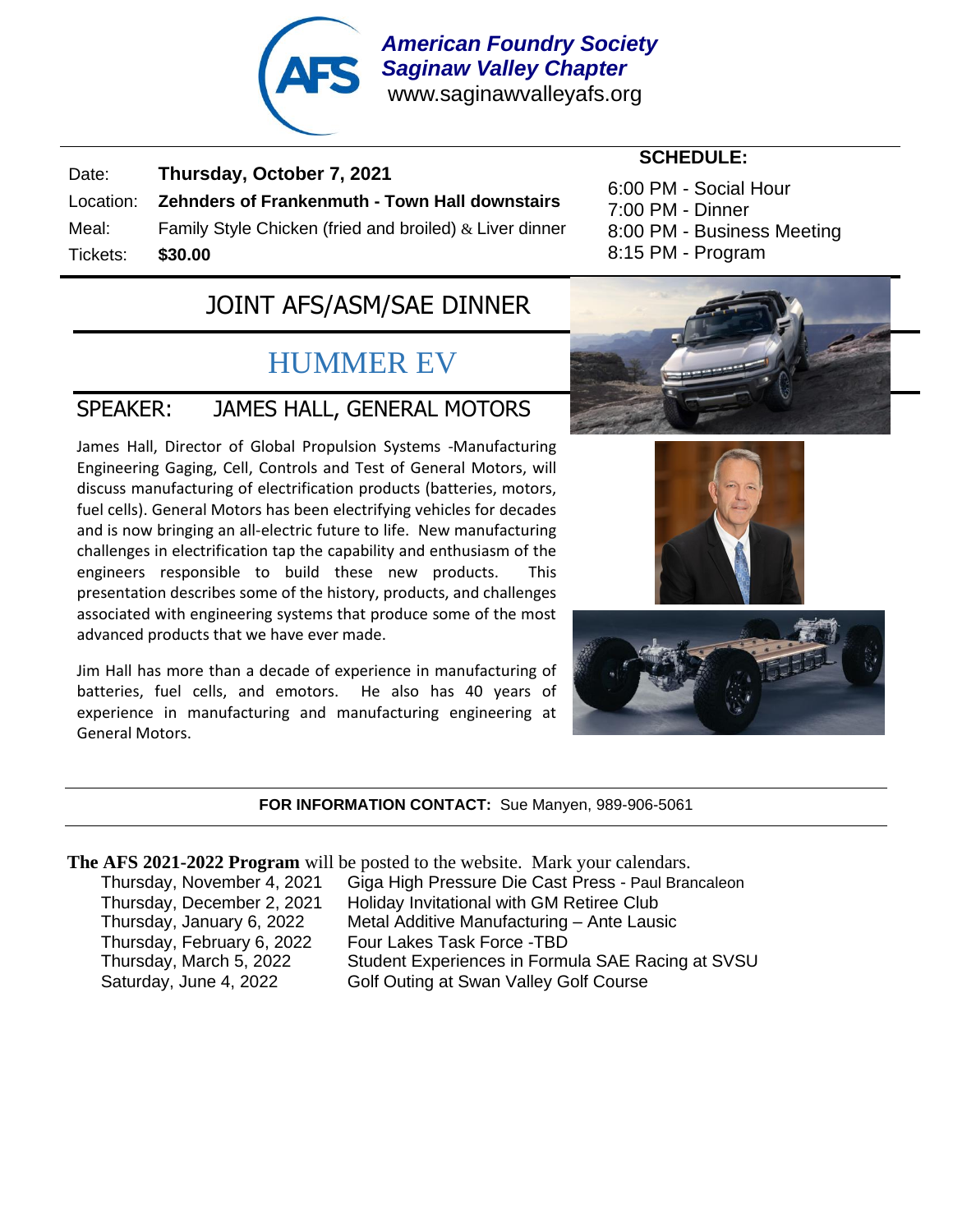

*American Foundry Society Saginaw Valley Chapter* www.saginawvalleyafs.org

Date: **Thursday, October 7, 2021** Location: **Zehnders of Frankenmuth - Town Hall downstairs** Meal: Family Style Chicken (fried and broiled) & Liver dinner Tickets: **\$30.00**

#### **SCHEDULE:**

6:00 PM - Social Hour 7:00 PM - Dinner 8:00 PM - Business Meeting 8:15 PM - Program

### JOINT AFS/ASM/SAE DINNER

## HUMMER EV

### SPEAKER: JAMES HALL, GENERAL MOTORS

James Hall, Director of Global Propulsion Systems -Manufacturing Engineering Gaging, Cell, Controls and Test of General Motors, will discuss manufacturing of electrification products (batteries, motors, fuel cells). General Motors has been electrifying vehicles for decades and is now bringing an all-electric future to life. New manufacturing challenges in electrification tap the capability and enthusiasm of the engineers responsible to build these new products. This presentation describes some of the history, products, and challenges associated with engineering systems that produce some of the most advanced products that we have ever made.

Jim Hall has more than a decade of experience in manufacturing of batteries, fuel cells, and emotors. He also has 40 years of experience in manufacturing and manufacturing engineering at General Motors.







#### **FOR INFORMATION CONTACT:** Sue Manyen, 989-906-5061

#### **The AFS 2021-2022 Program** will be posted to the website. Mark your calendars.

Thursday, November 4, 2021 Giga High Pressure Die Cast Press - Paul Brancaleon Thursday, December 2, 2021 Holiday Invitational with GM Retiree Club Thursday, January 6, 2022 Metal Additive Manufacturing – Ante Lausic Thursday, February 6, 2022 Four Lakes Task Force -TBD Thursday, March 5, 2022 Student Experiences in Formula SAE Racing at SVSU Saturday, June 4, 2022 Golf Outing at Swan Valley Golf Course